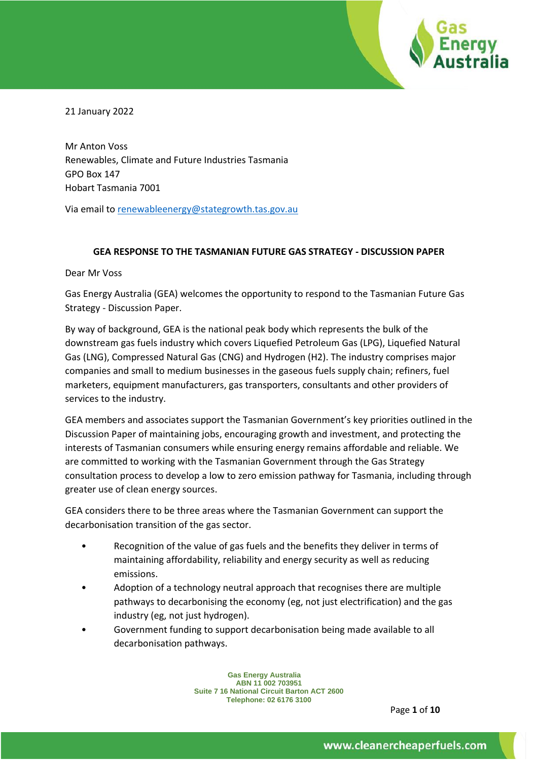

21 January 2022

Mr Anton Voss Renewables, Climate and Future Industries Tasmania GPO Box 147 Hobart Tasmania 7001

Via email to [renewableenergy@stategrowth.tas.gov.au](mailto:renewableenergy@stategrowth.tas.gov.au)

### **GEA RESPONSE TO THE TASMANIAN FUTURE GAS STRATEGY - DISCUSSION PAPER**

Dear Mr Voss

Gas Energy Australia (GEA) welcomes the opportunity to respond to the Tasmanian Future Gas Strategy - Discussion Paper.

By way of background, GEA is the national peak body which represents the bulk of the downstream gas fuels industry which covers Liquefied Petroleum Gas (LPG), Liquefied Natural Gas (LNG), Compressed Natural Gas (CNG) and Hydrogen (H2). The industry comprises major companies and small to medium businesses in the gaseous fuels supply chain; refiners, fuel marketers, equipment manufacturers, gas transporters, consultants and other providers of services to the industry.

GEA members and associates support the Tasmanian Government's key priorities outlined in the Discussion Paper of maintaining jobs, encouraging growth and investment, and protecting the interests of Tasmanian consumers while ensuring energy remains affordable and reliable. We are committed to working with the Tasmanian Government through the Gas Strategy consultation process to develop a low to zero emission pathway for Tasmania, including through greater use of clean energy sources.

GEA considers there to be three areas where the Tasmanian Government can support the decarbonisation transition of the gas sector.

- Recognition of the value of gas fuels and the benefits they deliver in terms of maintaining affordability, reliability and energy security as well as reducing emissions.
- Adoption of a technology neutral approach that recognises there are multiple pathways to decarbonising the economy (eg, not just electrification) and the gas industry (eg, not just hydrogen).
- Government funding to support decarbonisation being made available to all decarbonisation pathways.

**Gas Energy Australia ABN 11 002 703951 Suite 7 16 National Circuit Barton ACT 2600 Telephone: 02 6176 3100** 

Page **1** of **10**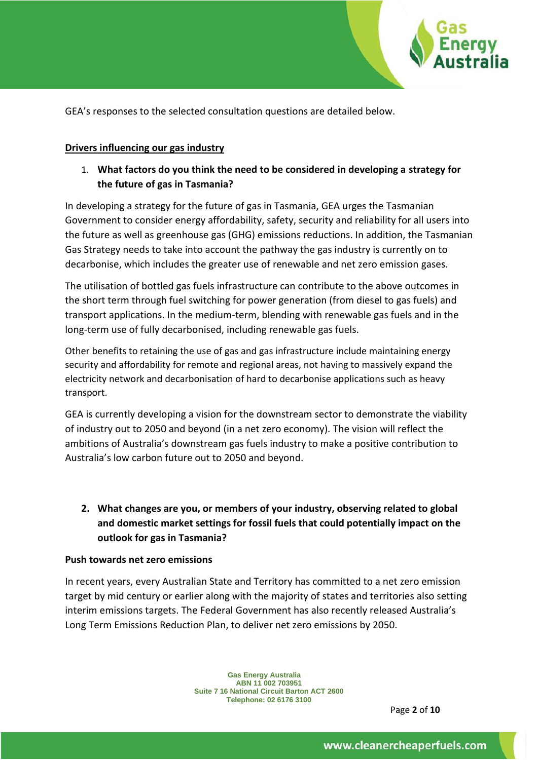

GEA's responses to the selected consultation questions are detailed below.

#### **Drivers influencing our gas industry**

1. **What factors do you think the need to be considered in developing a strategy for the future of gas in Tasmania?**

In developing a strategy for the future of gas in Tasmania, GEA urges the Tasmanian Government to consider energy affordability, safety, security and reliability for all users into the future as well as greenhouse gas (GHG) emissions reductions. In addition, the Tasmanian Gas Strategy needs to take into account the pathway the gas industry is currently on to decarbonise, which includes the greater use of renewable and net zero emission gases.

The utilisation of bottled gas fuels infrastructure can contribute to the above outcomes in the short term through fuel switching for power generation (from diesel to gas fuels) and transport applications. In the medium-term, blending with renewable gas fuels and in the long-term use of fully decarbonised, including renewable gas fuels.

Other benefits to retaining the use of gas and gas infrastructure include maintaining energy security and affordability for remote and regional areas, not having to massively expand the electricity network and decarbonisation of hard to decarbonise applications such as heavy transport.

GEA is currently developing a vision for the downstream sector to demonstrate the viability of industry out to 2050 and beyond (in a net zero economy). The vision will reflect the ambitions of Australia's downstream gas fuels industry to make a positive contribution to Australia's low carbon future out to 2050 and beyond.

**2. What changes are you, or members of your industry, observing related to global and domestic market settings for fossil fuels that could potentially impact on the outlook for gas in Tasmania?**

#### **Push towards net zero emissions**

In recent years, every Australian State and Territory has committed to a net zero emission target by mid century or earlier along with the majority of states and territories also setting interim emissions targets. The Federal Government has also recently released Australia's Long Term Emissions Reduction Plan, to deliver net zero emissions by 2050.

> **Gas Energy Australia ABN 11 002 703951 Suite 7 16 National Circuit Barton ACT 2600 Telephone: 02 6176 3100**

> > Page **2** of **10**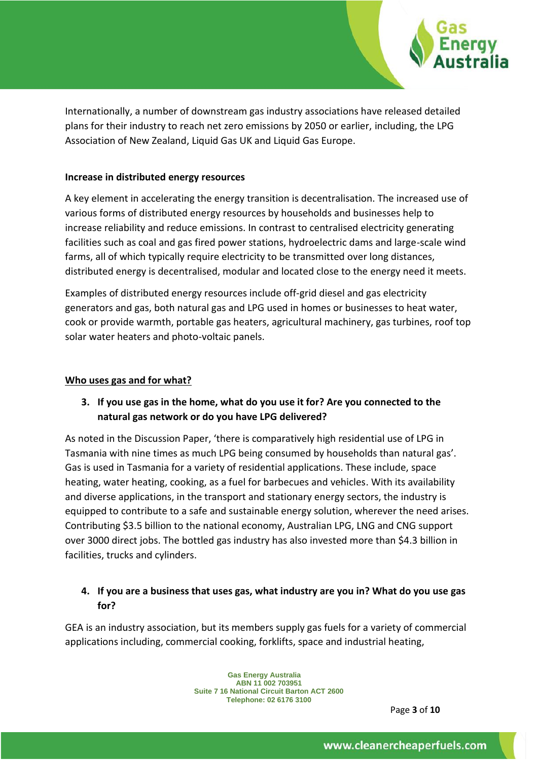

Internationally, a number of downstream gas industry associations have released detailed plans for their industry to reach net zero emissions by 2050 or earlier, including, the LPG Association of New Zealand, Liquid Gas UK and Liquid Gas Europe.

### **Increase in distributed energy resources**

A key element in accelerating the energy transition is decentralisation. The increased use of various forms of distributed energy resources by households and businesses help to increase reliability and reduce emissions. In contrast to centralised electricity generating facilities such as coal and gas fired power stations, hydroelectric dams and large-scale wind farms, all of which typically require electricity to be transmitted over long distances, distributed energy is decentralised, modular and located close to the energy need it meets.

Examples of distributed energy resources include off-grid diesel and gas electricity generators and gas, both natural gas and LPG used in homes or businesses to heat water, cook or provide warmth, portable gas heaters, agricultural machinery, gas turbines, roof top solar water heaters and photo-voltaic panels.

### **Who uses gas and for what?**

## **3. If you use gas in the home, what do you use it for? Are you connected to the natural gas network or do you have LPG delivered?**

As noted in the Discussion Paper, 'there is comparatively high residential use of LPG in Tasmania with nine times as much LPG being consumed by households than natural gas'. Gas is used in Tasmania for a variety of residential applications. These include, space heating, water heating, cooking, as a fuel for barbecues and vehicles. With its availability and diverse applications, in the transport and stationary energy sectors, the industry is equipped to contribute to a safe and sustainable energy solution, wherever the need arises. Contributing \$3.5 billion to the national economy, Australian LPG, LNG and CNG support over 3000 direct jobs. The bottled gas industry has also invested more than \$4.3 billion in facilities, trucks and cylinders.

## **4. If you are a business that uses gas, what industry are you in? What do you use gas for?**

GEA is an industry association, but its members supply gas fuels for a variety of commercial applications including, commercial cooking, forklifts, space and industrial heating,

> **Gas Energy Australia ABN 11 002 703951 Suite 7 16 National Circuit Barton ACT 2600 Telephone: 02 6176 3100**

> > Page **3** of **10**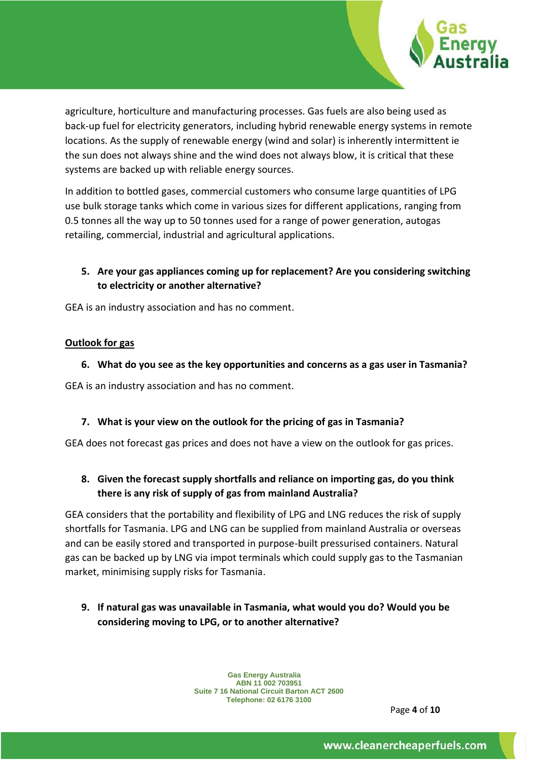

agriculture, horticulture and manufacturing processes. Gas fuels are also being used as back-up fuel for electricity generators, including hybrid renewable energy systems in remote locations. As the supply of renewable energy (wind and solar) is inherently intermittent ie the sun does not always shine and the wind does not always blow, it is critical that these systems are backed up with reliable energy sources.

In addition to bottled gases, commercial customers who consume large quantities of LPG use bulk storage tanks which come in various sizes for different applications, ranging from 0.5 tonnes all the way up to 50 tonnes used for a range of power generation, autogas retailing, commercial, industrial and agricultural applications.

# **5. Are your gas appliances coming up for replacement? Are you considering switching to electricity or another alternative?**

GEA is an industry association and has no comment.

### **Outlook for gas**

**6. What do you see as the key opportunities and concerns as a gas user in Tasmania?**

GEA is an industry association and has no comment.

### **7. What is your view on the outlook for the pricing of gas in Tasmania?**

GEA does not forecast gas prices and does not have a view on the outlook for gas prices.

# **8. Given the forecast supply shortfalls and reliance on importing gas, do you think there is any risk of supply of gas from mainland Australia?**

GEA considers that the portability and flexibility of LPG and LNG reduces the risk of supply shortfalls for Tasmania. LPG and LNG can be supplied from mainland Australia or overseas and can be easily stored and transported in purpose-built pressurised containers. Natural gas can be backed up by LNG via impot terminals which could supply gas to the Tasmanian market, minimising supply risks for Tasmania.

**9. If natural gas was unavailable in Tasmania, what would you do? Would you be considering moving to LPG, or to another alternative?**

> **Gas Energy Australia ABN 11 002 703951 Suite 7 16 National Circuit Barton ACT 2600 Telephone: 02 6176 3100**

> > Page **4** of **10**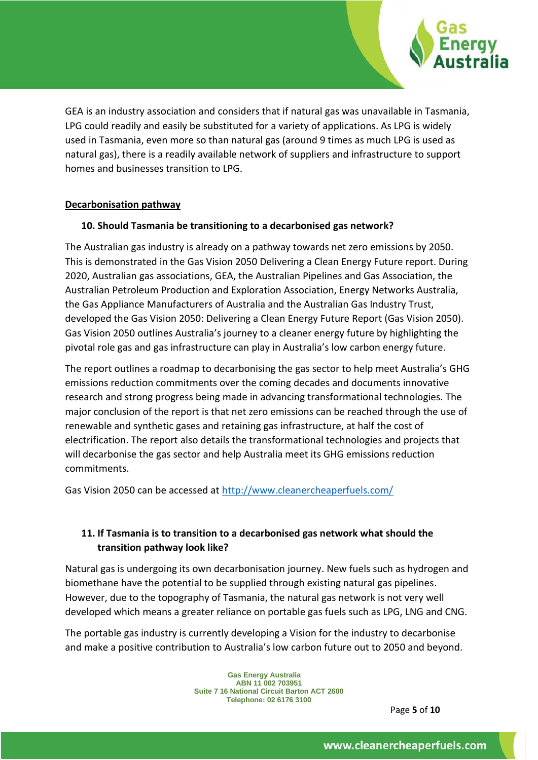

GEA is an industry association and considers that if natural gas was unavailable in Tasmania, LPG could readily and easily be substituted for a variety of applications. As LPG is widely used in Tasmania, even more so than natural gas (around 9 times as much LPG is used as natural gas), there is a readily available network of suppliers and infrastructure to support homes and businesses transition to LPG.

### **Decarbonisation pathway**

### **10. Should Tasmania be transitioning to a decarbonised gas network?**

The Australian gas industry is already on a pathway towards net zero emissions by 2050. This is demonstrated in the Gas Vision 2050 Delivering a Clean Energy Future report. During 2020, Australian gas associations, GEA, the Australian Pipelines and Gas Association, the Australian Petroleum Production and Exploration Association, Energy Networks Australia, the Gas Appliance Manufacturers of Australia and the Australian Gas Industry Trust, developed the Gas Vision 2050: Delivering a Clean Energy Future Report (Gas Vision 2050). Gas Vision 2050 outlines Australia's journey to a cleaner energy future by highlighting the pivotal role gas and gas infrastructure can play in Australia's low carbon energy future.

The report outlines a roadmap to decarbonising the gas sector to help meet Australia's GHG emissions reduction commitments over the coming decades and documents innovative research and strong progress being made in advancing transformational technologies. The major conclusion of the report is that net zero emissions can be reached through the use of renewable and synthetic gases and retaining gas infrastructure, at half the cost of electrification. The report also details the transformational technologies and projects that will decarbonise the gas sector and help Australia meet its GHG emissions reduction commitments.

Gas Vision 2050 can be accessed at<http://www.cleanercheaperfuels.com/>

## **11. If Tasmania is to transition to a decarbonised gas network what should the transition pathway look like?**

Natural gas is undergoing its own decarbonisation journey. New fuels such as hydrogen and biomethane have the potential to be supplied through existing natural gas pipelines. However, due to the topography of Tasmania, the natural gas network is not very well developed which means a greater reliance on portable gas fuels such as LPG, LNG and CNG.

The portable gas industry is currently developing a Vision for the industry to decarbonise and make a positive contribution to Australia's low carbon future out to 2050 and beyond.

> **Gas Energy Australia ABN 11 002 703951 Suite 7 16 National Circuit Barton ACT 2600 Telephone: 02 6176 3100**

Page **5** of **10**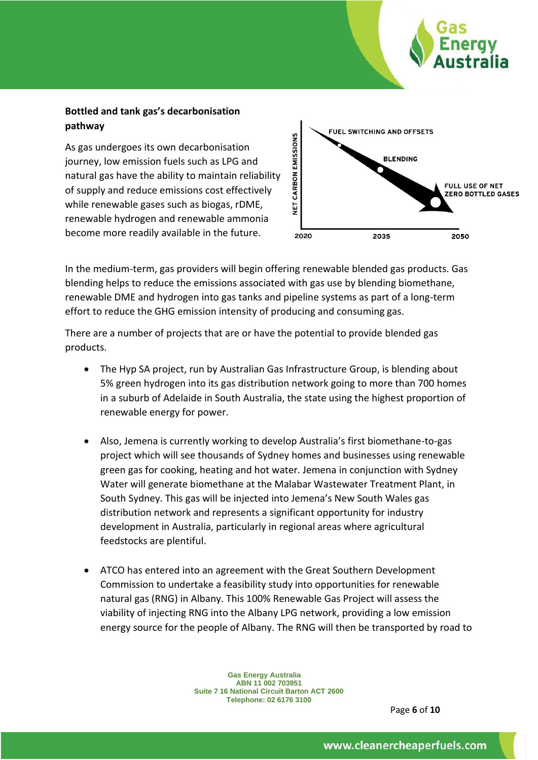## **Bottled and tank gas's decarbonisation pathway**

As gas undergoes its own decarbonisation journey, low emission fuels such as LPG and natural gas have the ability to maintain reliability of supply and reduce emissions cost effectively while renewable gases such as biogas, rDME, renewable hydrogen and renewable ammonia become more readily available in the future.



In the medium-term, gas providers will begin offering renewable blended gas products. Gas blending helps to reduce the emissions associated with gas use by blending biomethane, renewable DME and hydrogen into gas tanks and pipeline systems as part of a long-term effort to reduce the GHG emission intensity of producing and consuming gas.

There are a number of projects that are or have the potential to provide blended gas products.

- The Hyp SA project, run by Australian Gas Infrastructure Group, is blending about 5% green hydrogen into its gas distribution network going to more than 700 homes in a suburb of Adelaide in South Australia, the state using the highest proportion of renewable energy for power.
- Also, Jemena is currently working to develop Australia's first biomethane-to-gas project which will see thousands of Sydney homes and businesses using renewable green gas for cooking, heating and hot water. Jemena in conjunction with Sydney Water will generate biomethane at the Malabar Wastewater Treatment Plant, in South Sydney. This gas will be injected into Jemena's New South Wales gas distribution network and represents a significant opportunity for industry development in Australia, particularly in regional areas where agricultural feedstocks are plentiful.
- ATCO has entered into an agreement with the Great Southern Development Commission to undertake a feasibility study into opportunities for renewable natural gas (RNG) in Albany. This 100% Renewable Gas Project will assess the viability of injecting RNG into the Albany LPG network, providing a low emission energy source for the people of Albany. The RNG will then be transported by road to

**Gas Energy Australia ABN 11 002 703951 Suite 7 16 National Circuit Barton ACT 2600 Telephone: 02 6176 3100** 

Page **6** of **10**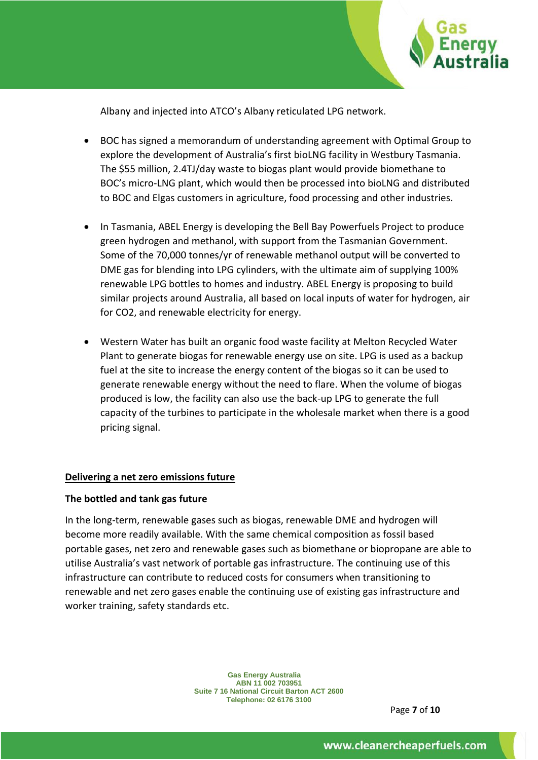

Albany and injected into ATCO's Albany reticulated LPG network.

- BOC has signed a memorandum of understanding agreement with Optimal Group to explore the development of Australia's first bioLNG facility in Westbury Tasmania. The \$55 million, 2.4TJ/day waste to biogas plant would provide biomethane to BOC's micro-LNG plant, which would then be processed into bioLNG and distributed to BOC and Elgas customers in agriculture, food processing and other industries.
- In Tasmania, ABEL Energy is developing the Bell Bay Powerfuels Project to produce green hydrogen and methanol, with support from the Tasmanian Government. Some of the 70,000 tonnes/yr of renewable methanol output will be converted to DME gas for blending into LPG cylinders, with the ultimate aim of supplying 100% renewable LPG bottles to homes and industry. ABEL Energy is proposing to build similar projects around Australia, all based on local inputs of water for hydrogen, air for CO2, and renewable electricity for energy.
- Western Water has built an organic food waste facility at Melton Recycled Water Plant to generate biogas for renewable energy use on site. LPG is used as a backup fuel at the site to increase the energy content of the biogas so it can be used to generate renewable energy without the need to flare. When the volume of biogas produced is low, the facility can also use the back-up LPG to generate the full capacity of the turbines to participate in the wholesale market when there is a good pricing signal.

### **Delivering a net zero emissions future**

### **The bottled and tank gas future**

In the long-term, renewable gases such as biogas, renewable DME and hydrogen will become more readily available. With the same chemical composition as fossil based portable gases, net zero and renewable gases such as biomethane or biopropane are able to utilise Australia's vast network of portable gas infrastructure. The continuing use of this infrastructure can contribute to reduced costs for consumers when transitioning to renewable and net zero gases enable the continuing use of existing gas infrastructure and worker training, safety standards etc.

> **Gas Energy Australia ABN 11 002 703951 Suite 7 16 National Circuit Barton ACT 2600 Telephone: 02 6176 3100**

Page **7** of **10**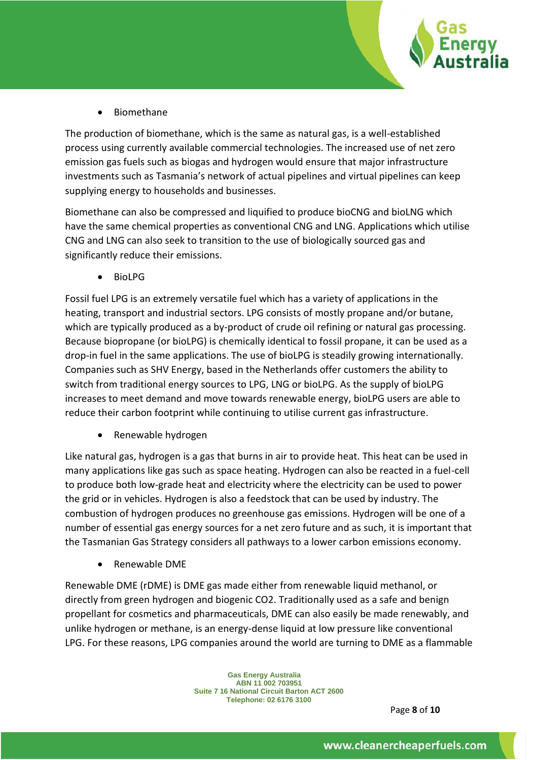

• Biomethane

The production of biomethane, which is the same as natural gas, is a well-established process using currently available commercial technologies. The increased use of net zero emission gas fuels such as biogas and hydrogen would ensure that major infrastructure investments such as Tasmania's network of actual pipelines and virtual pipelines can keep supplying energy to households and businesses.

Biomethane can also be compressed and liquified to produce bioCNG and bioLNG which have the same chemical properties as conventional CNG and LNG. Applications which utilise CNG and LNG can also seek to transition to the use of biologically sourced gas and significantly reduce their emissions.

• BioLPG

Fossil fuel LPG is an extremely versatile fuel which has a variety of applications in the heating, transport and industrial sectors. LPG consists of mostly propane and/or butane, which are typically produced as a by-product of crude oil refining or natural gas processing. Because biopropane (or bioLPG) is chemically identical to fossil propane, it can be used as a drop-in fuel in the same applications. The use of bioLPG is steadily growing internationally. Companies such as SHV Energy, based in the Netherlands offer customers the ability to switch from traditional energy sources to LPG, LNG or bioLPG. As the supply of bioLPG increases to meet demand and move towards renewable energy, bioLPG users are able to reduce their carbon footprint while continuing to utilise current gas infrastructure.

• Renewable hydrogen

Like natural gas, hydrogen is a gas that burns in air to provide heat. This heat can be used in many applications like gas such as space heating. Hydrogen can also be reacted in a fuel-cell to produce both low-grade heat and electricity where the electricity can be used to power the grid or in vehicles. Hydrogen is also a feedstock that can be used by industry. The combustion of hydrogen produces no greenhouse gas emissions. Hydrogen will be one of a number of essential gas energy sources for a net zero future and as such, it is important that the Tasmanian Gas Strategy considers all pathways to a lower carbon emissions economy.

• Renewable DME

Renewable DME (rDME) is DME gas made either from renewable liquid methanol, or directly from green hydrogen and biogenic CO2. Traditionally used as a safe and benign propellant for cosmetics and pharmaceuticals, DME can also easily be made renewably, and unlike hydrogen or methane, is an energy-dense liquid at low pressure like conventional LPG. For these reasons, LPG companies around the world are turning to DME as a flammable

> **Gas Energy Australia ABN 11 002 703951 Suite 7 16 National Circuit Barton ACT 2600 Telephone: 02 6176 3100**

> > Page **8** of **10**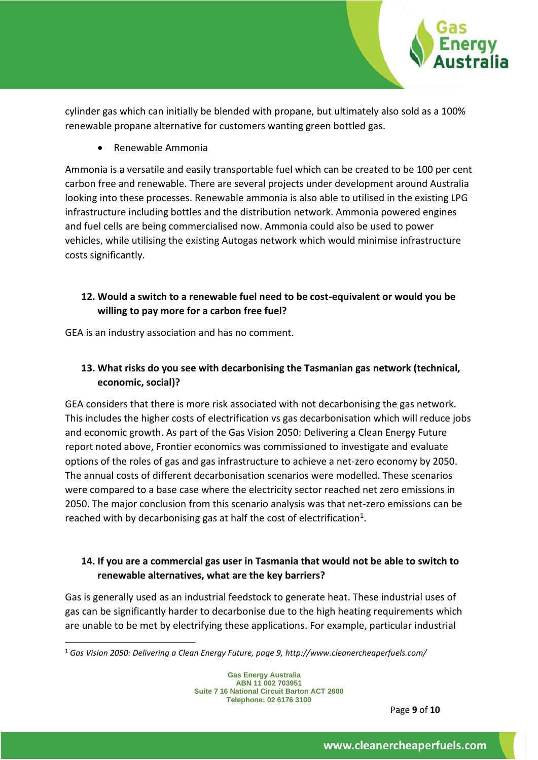

cylinder gas which can initially be blended with propane, but ultimately also sold as a 100% renewable propane alternative for customers wanting green bottled gas.

• Renewable Ammonia

Ammonia is a versatile and easily transportable fuel which can be created to be 100 per cent carbon free and renewable. There are several projects under development around Australia looking into these processes. Renewable ammonia is also able to utilised in the existing LPG infrastructure including bottles and the distribution network. Ammonia powered engines and fuel cells are being commercialised now. Ammonia could also be used to power vehicles, while utilising the existing Autogas network which would minimise infrastructure costs significantly.

# **12. Would a switch to a renewable fuel need to be cost-equivalent or would you be willing to pay more for a carbon free fuel?**

GEA is an industry association and has no comment.

# **13. What risks do you see with decarbonising the Tasmanian gas network (technical, economic, social)?**

GEA considers that there is more risk associated with not decarbonising the gas network. This includes the higher costs of electrification vs gas decarbonisation which will reduce jobs and economic growth. As part of the Gas Vision 2050: Delivering a Clean Energy Future report noted above, Frontier economics was commissioned to investigate and evaluate options of the roles of gas and gas infrastructure to achieve a net-zero economy by 2050. The annual costs of different decarbonisation scenarios were modelled. These scenarios were compared to a base case where the electricity sector reached net zero emissions in 2050. The major conclusion from this scenario analysis was that net-zero emissions can be reached with by decarbonising gas at half the cost of electrification<sup>1</sup>.

## **14. If you are a commercial gas user in Tasmania that would not be able to switch to renewable alternatives, what are the key barriers?**

Gas is generally used as an industrial feedstock to generate heat. These industrial uses of gas can be significantly harder to decarbonise due to the high heating requirements which are unable to be met by electrifying these applications. For example, particular industrial

Page **9** of **10**

<sup>1</sup> *Gas Vision 2050: Delivering a Clean Energy Future, page 9, http://www.cleanercheaperfuels.com/*